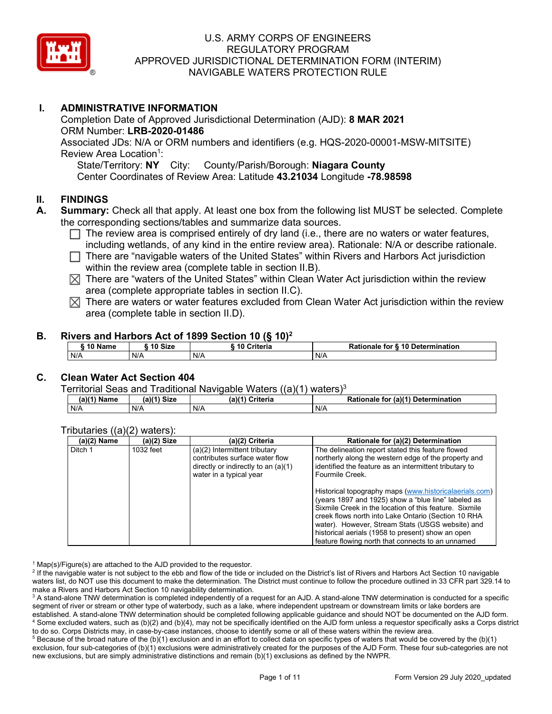

## **I. ADMINISTRATIVE INFORMATION**

Completion Date of Approved Jurisdictional Determination (AJD): **8 MAR 2021** ORM Number: **LRB-2020-01486** Associated JDs: N/A or ORM numbers and identifiers (e.g. HQS-2020-00001-MSW-MITSITE) Review Area Location<sup>1</sup>: State/Territory: **NY** City: County/Parish/Borough: **Niagara County**

Center Coordinates of Review Area: Latitude **43.21034** Longitude **-78.98598**

### **II. FINDINGS**

- **A. Summary:** Check all that apply. At least one box from the following list MUST be selected. Complete the corresponding sections/tables and summarize data sources.
	- $\Box$  The review area is comprised entirely of dry land (i.e., there are no waters or water features, including wetlands, of any kind in the entire review area). Rationale: N/A or describe rationale.
	- There are "navigable waters of the United States" within Rivers and Harbors Act jurisdiction within the review area (complete table in section II.B).
	- $\boxtimes$  There are "waters of the United States" within Clean Water Act jurisdiction within the review area (complete appropriate tables in section II.C).
	- $\boxtimes$  There are waters or water features excluded from Clean Water Act jurisdiction within the review area (complete table in section II.D).

#### **B. Rivers and Harbors Act of 1899 Section 10 (§ 10)2**

|        | 11.000 and narrow the company of the company of the company of the company of the company of the company of the company of the company of the company of the company of the company of the company of the company of the compa |                          |                                  |  |  |
|--------|--------------------------------------------------------------------------------------------------------------------------------------------------------------------------------------------------------------------------------|--------------------------|----------------------------------|--|--|
| ຳ Name | 10 Size                                                                                                                                                                                                                        | <sup>₹</sup> 10 Criteria | Rationale for § 10 Determination |  |  |
| N/A    | N/A                                                                                                                                                                                                                            | N/A                      | N/A                              |  |  |

# **C. Clean Water Act Section 404**

Territorial Seas and Traditional Navigable Waters  $((a)(1)$  waters)<sup>3</sup>

| $(a)(1)$ Name | <b>Size</b><br>(a)(1) | $(a)$ $(4)$<br>Criteria | (a)(1) Determination<br>Rationale<br>for |
|---------------|-----------------------|-------------------------|------------------------------------------|
| N/A           | N/A                   | N/A                     | N/A                                      |

#### Tributaries ((a)(2) waters):

| .<br>$(a)(2)$ Name | (a)(2) Size | (a)(2) Criteria                                                                                                                     | Rationale for (a)(2) Determination                                                                                                                                                                                                                                                                                                                                                           |
|--------------------|-------------|-------------------------------------------------------------------------------------------------------------------------------------|----------------------------------------------------------------------------------------------------------------------------------------------------------------------------------------------------------------------------------------------------------------------------------------------------------------------------------------------------------------------------------------------|
| Ditch 1            | 1032 feet   | (a)(2) Intermittent tributary<br>contributes surface water flow<br>directly or indirectly to an $(a)(1)$<br>water in a typical year | The delineation report stated this feature flowed<br>northerly along the western edge of the property and<br>identified the feature as an intermittent tributary to<br>Fourmile Creek.                                                                                                                                                                                                       |
|                    |             |                                                                                                                                     | Historical topography maps (www.historicalaerials.com)<br>(years 1897 and 1925) show a "blue line" labeled as<br>Sixmile Creek in the location of this feature. Sixmile<br>creek flows north into Lake Ontario (Section 10 RHA<br>water). However, Stream Stats (USGS website) and<br>historical aerials (1958 to present) show an open<br>feature flowing north that connects to an unnamed |

<sup>1</sup> Map(s)/Figure(s) are attached to the AJD provided to the requestor.<br><sup>2</sup> If the navigable water is not subject to the ebb and flow of the tide or included on the District's list of Rivers and Harbors Act Section 10 nav waters list, do NOT use this document to make the determination. The District must continue to follow the procedure outlined in 33 CFR part 329.14 to make a Rivers and Harbors Act Section 10 navigability determination.

<sup>3</sup> A stand-alone TNW determination is completed independently of a request for an AJD. A stand-alone TNW determination is conducted for a specific segment of river or stream or other type of waterbody, such as a lake, where independent upstream or downstream limits or lake borders are established. A stand-alone TNW determination should be completed following applicable guidance and should NOT be documented on the AJD form. <sup>4</sup> Some excluded waters, such as (b)(2) and (b)(4), may not be specifically identified on the AJD form unless a requestor specifically asks a Corps district to do so. Corps Districts may, in case-by-case instances, choose to identify some or all of these waters within the review area.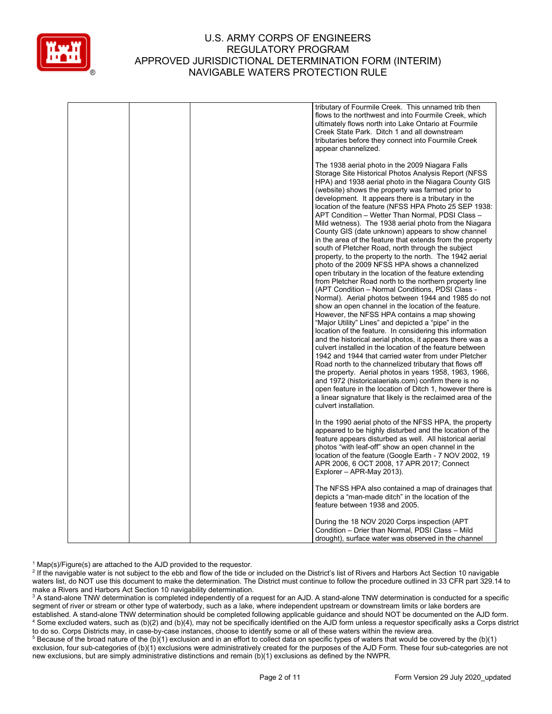

|  | tributary of Fourmile Creek. This unnamed trib then<br>flows to the northwest and into Fourmile Creek, which<br>ultimately flows north into Lake Ontario at Fourmile<br>Creek State Park. Ditch 1 and all downstream<br>tributaries before they connect into Fourmile Creek<br>appear channelized.                                                                                                                                                                                                                                                                                                                                                                                                                                                                                                                                                                                                                                                                                                                                                                                                                                                                                                                                                                                                                                                                                                                                                                                                                                                                                                                                                                                                               |
|--|------------------------------------------------------------------------------------------------------------------------------------------------------------------------------------------------------------------------------------------------------------------------------------------------------------------------------------------------------------------------------------------------------------------------------------------------------------------------------------------------------------------------------------------------------------------------------------------------------------------------------------------------------------------------------------------------------------------------------------------------------------------------------------------------------------------------------------------------------------------------------------------------------------------------------------------------------------------------------------------------------------------------------------------------------------------------------------------------------------------------------------------------------------------------------------------------------------------------------------------------------------------------------------------------------------------------------------------------------------------------------------------------------------------------------------------------------------------------------------------------------------------------------------------------------------------------------------------------------------------------------------------------------------------------------------------------------------------|
|  | The 1938 aerial photo in the 2009 Niagara Falls<br>Storage Site Historical Photos Analysis Report (NFSS)<br>HPA) and 1938 aerial photo in the Niagara County GIS<br>(website) shows the property was farmed prior to<br>development. It appears there is a tributary in the<br>location of the feature (NFSS HPA Photo 25 SEP 1938:<br>APT Condition - Wetter Than Normal, PDSI Class -<br>Mild wetness). The 1938 aerial photo from the Niagara<br>County GIS (date unknown) appears to show channel<br>in the area of the feature that extends from the property<br>south of Pletcher Road, north through the subject<br>property, to the property to the north. The 1942 aerial<br>photo of the 2009 NFSS HPA shows a channelized<br>open tributary in the location of the feature extending<br>from Pletcher Road north to the northern property line<br>(APT Condition - Normal Conditions, PDSI Class -<br>Normal). Aerial photos between 1944 and 1985 do not<br>show an open channel in the location of the feature.<br>However, the NFSS HPA contains a map showing<br>"Major Utility" Lines" and depicted a "pipe" in the<br>location of the feature. In considering this information<br>and the historical aerial photos, it appears there was a<br>culvert installed in the location of the feature between<br>1942 and 1944 that carried water from under Pletcher<br>Road north to the channelized tributary that flows off<br>the property. Aerial photos in years 1958, 1963, 1966,<br>and 1972 (historicalaerials.com) confirm there is no<br>open feature in the location of Ditch 1, however there is<br>a linear signature that likely is the reclaimed area of the<br>culvert installation. |
|  | In the 1990 aerial photo of the NFSS HPA, the property<br>appeared to be highly disturbed and the location of the<br>feature appears disturbed as well. All historical aerial<br>photos "with leaf-off" show an open channel in the<br>location of the feature (Google Earth - 7 NOV 2002, 19<br>APR 2006, 6 OCT 2008, 17 APR 2017; Connect<br>Explorer - APR-May 2013).                                                                                                                                                                                                                                                                                                                                                                                                                                                                                                                                                                                                                                                                                                                                                                                                                                                                                                                                                                                                                                                                                                                                                                                                                                                                                                                                         |
|  | The NFSS HPA also contained a map of drainages that<br>depicts a "man-made ditch" in the location of the<br>feature between 1938 and 2005.                                                                                                                                                                                                                                                                                                                                                                                                                                                                                                                                                                                                                                                                                                                                                                                                                                                                                                                                                                                                                                                                                                                                                                                                                                                                                                                                                                                                                                                                                                                                                                       |
|  | During the 18 NOV 2020 Corps inspection (APT<br>Condition – Drier than Normal, PDSI Class – Mild<br>drought), surface water was observed in the channel                                                                                                                                                                                                                                                                                                                                                                                                                                                                                                                                                                                                                                                                                                                                                                                                                                                                                                                                                                                                                                                                                                                                                                                                                                                                                                                                                                                                                                                                                                                                                          |

<sup>1</sup> Map(s)/Figure(s) are attached to the AJD provided to the requestor.<br><sup>2</sup> If the navigable water is not subject to the ebb and flow of the tide or included on the District's list of Rivers and Harbors Act Section 10 nav waters list, do NOT use this document to make the determination. The District must continue to follow the procedure outlined in 33 CFR part 329.14 to make a Rivers and Harbors Act Section 10 navigability determination.

<sup>3</sup> A stand-alone TNW determination is completed independently of a request for an AJD. A stand-alone TNW determination is conducted for a specific segment of river or stream or other type of waterbody, such as a lake, where independent upstream or downstream limits or lake borders are established. A stand-alone TNW determination should be completed following applicable guidance and should NOT be documented on the AJD form. <sup>4</sup> Some excluded waters, such as (b)(2) and (b)(4), may not be specifically identified on the AJD form unless a requestor specifically asks a Corps district to do so. Corps Districts may, in case-by-case instances, choose to identify some or all of these waters within the review area.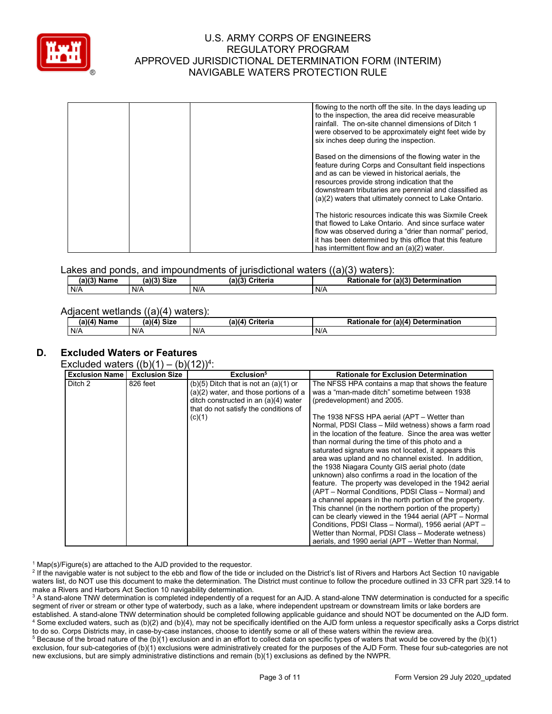

| flowing to the north off the site. In the days leading up<br>to the inspection, the area did receive measurable<br>rainfall. The on-site channel dimensions of Ditch 1<br>were observed to be approximately eight feet wide by<br>six inches deep during the inspection.                                                            |
|-------------------------------------------------------------------------------------------------------------------------------------------------------------------------------------------------------------------------------------------------------------------------------------------------------------------------------------|
| Based on the dimensions of the flowing water in the<br>feature during Corps and Consultant field inspections<br>and as can be viewed in historical aerials, the<br>resources provide strong indication that the<br>downstream tributaries are perennial and classified as<br>(a)(2) waters that ultimately connect to Lake Ontario. |
| The historic resources indicate this was Sixmile Creek<br>that flowed to Lake Ontario. And since surface water<br>flow was observed during a "drier than normal" period,<br>it has been determined by this office that this feature<br>has intermittent flow and an (a)(2) water.                                                   |

Lakes and ponds, and impoundments of jurisdictional waters ((a)(3) waters):

| (a)(3)<br><b>Name</b> | (a)(3)<br><b>Size</b> | (a)(3)<br>Criteria | (a)(3)<br>-<br>Rationale<br>Determination<br>for |
|-----------------------|-----------------------|--------------------|--------------------------------------------------|
| N/A                   | N/A                   | N/A                | N/A                                              |

#### Adjacent wetlands ((a)(4) waters):

| $(a)(4)$ Name | (a)(4) Size | (a)(4)<br>Criteria | (a)(4) Determination<br><b>Rationale</b><br>tor |
|---------------|-------------|--------------------|-------------------------------------------------|
| N/A           | N/A         | N/A                | N/A                                             |

# **D. Excluded Waters or Features**

Excluded waters  $((b)(1) - (b)(12))^4$ :

| 826 feet | $(b)(5)$ Ditch that is not an $(a)(1)$ or<br>$(a)(2)$ water, and those portions of a<br>ditch constructed in an (a)(4) water | The NFSS HPA contains a map that shows the feature<br>was a "man-made ditch" sometime between 1938                                                                                                                                                                                                                                                                                                                                                                                                                       |
|----------|------------------------------------------------------------------------------------------------------------------------------|--------------------------------------------------------------------------------------------------------------------------------------------------------------------------------------------------------------------------------------------------------------------------------------------------------------------------------------------------------------------------------------------------------------------------------------------------------------------------------------------------------------------------|
|          | that do not satisfy the conditions of<br>(c)(1)                                                                              | (predevelopment) and 2005.<br>The 1938 NFSS HPA aerial (APT – Wetter than<br>Normal, PDSI Class - Mild wetness) shows a farm road<br>in the location of the feature. Since the area was wetter<br>than normal during the time of this photo and a<br>saturated signature was not located, it appears this<br>area was upland and no channel existed. In addition,<br>the 1938 Niagara County GIS aerial photo (date                                                                                                      |
|          |                                                                                                                              | unknown) also confirms a road in the location of the<br>feature. The property was developed in the 1942 aerial<br>(APT – Normal Conditions, PDSI Class – Normal) and<br>a channel appears in the north portion of the property.<br>This channel (in the northern portion of the property)<br>can be clearly viewed in the 1944 aerial (APT – Normal<br>Conditions, PDSI Class - Normal), 1956 aerial (APT -<br>Wetter than Normal, PDSI Class - Moderate wetness)<br>aerials, and 1990 aerial (APT – Wetter than Normal, |
|          |                                                                                                                              |                                                                                                                                                                                                                                                                                                                                                                                                                                                                                                                          |

<sup>1</sup> Map(s)/Figure(s) are attached to the AJD provided to the requestor.<br><sup>2</sup> If the navigable water is not subject to the ebb and flow of the tide or included on the District's list of Rivers and Harbors Act Section 10 nav waters list, do NOT use this document to make the determination. The District must continue to follow the procedure outlined in 33 CFR part 329.14 to make a Rivers and Harbors Act Section 10 navigability determination.

<sup>3</sup> A stand-alone TNW determination is completed independently of a request for an AJD. A stand-alone TNW determination is conducted for a specific segment of river or stream or other type of waterbody, such as a lake, where independent upstream or downstream limits or lake borders are established. A stand-alone TNW determination should be completed following applicable guidance and should NOT be documented on the AJD form. <sup>4</sup> Some excluded waters, such as (b)(2) and (b)(4), may not be specifically identified on the AJD form unless a requestor specifically asks a Corps district to do so. Corps Districts may, in case-by-case instances, choose to identify some or all of these waters within the review area.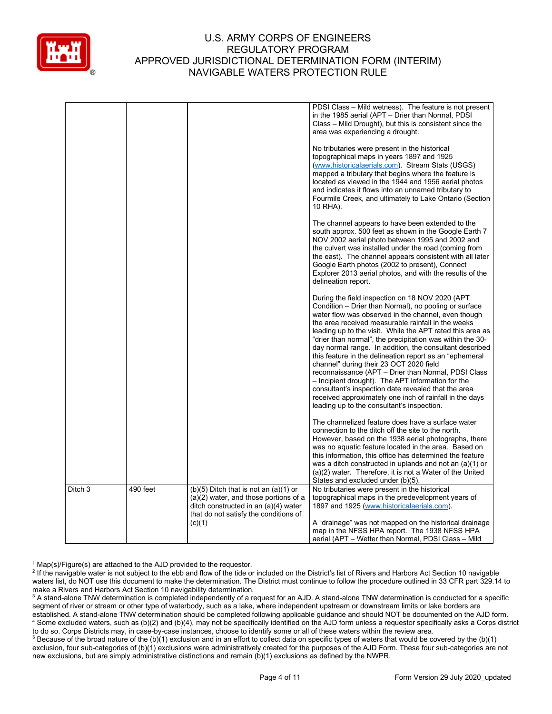

|         |          |                                                                                                                                                                                 | PDSI Class – Mild wetness). The feature is not present<br>in the 1985 aerial (APT - Drier than Normal, PDSI<br>Class - Mild Drought), but this is consistent since the<br>area was experiencing a drought.                                                                                                                                                                                                                                                                                                                                                                                                                                                                                                                                                                                    |
|---------|----------|---------------------------------------------------------------------------------------------------------------------------------------------------------------------------------|-----------------------------------------------------------------------------------------------------------------------------------------------------------------------------------------------------------------------------------------------------------------------------------------------------------------------------------------------------------------------------------------------------------------------------------------------------------------------------------------------------------------------------------------------------------------------------------------------------------------------------------------------------------------------------------------------------------------------------------------------------------------------------------------------|
|         |          |                                                                                                                                                                                 | No tributaries were present in the historical<br>topographical maps in years 1897 and 1925<br>(www.historicalaerials.com). Stream Stats (USGS)<br>mapped a tributary that begins where the feature is<br>located as viewed in the 1944 and 1956 aerial photos<br>and indicates it flows into an unnamed tributary to<br>Fourmile Creek, and ultimately to Lake Ontario (Section<br>10 RHA).                                                                                                                                                                                                                                                                                                                                                                                                   |
|         |          |                                                                                                                                                                                 | The channel appears to have been extended to the<br>south approx. 500 feet as shown in the Google Earth 7<br>NOV 2002 aerial photo between 1995 and 2002 and<br>the culvert was installed under the road (coming from<br>the east). The channel appears consistent with all later<br>Google Earth photos (2002 to present), Connect<br>Explorer 2013 aerial photos, and with the results of the<br>delineation report.                                                                                                                                                                                                                                                                                                                                                                        |
|         |          |                                                                                                                                                                                 | During the field inspection on 18 NOV 2020 (APT<br>Condition – Drier than Normal), no pooling or surface<br>water flow was observed in the channel, even though<br>the area received measurable rainfall in the weeks<br>leading up to the visit. While the APT rated this area as<br>"drier than normal", the precipitation was within the 30-<br>day normal range. In addition, the consultant described<br>this feature in the delineation report as an "ephemeral"<br>channel" during their 23 OCT 2020 field<br>reconnaissance (APT - Drier than Normal, PDSI Class<br>- Incipient drought). The APT information for the<br>consultant's inspection date revealed that the area<br>received approximately one inch of rainfall in the days<br>leading up to the consultant's inspection. |
|         |          |                                                                                                                                                                                 | The channelized feature does have a surface water<br>connection to the ditch off the site to the north.<br>However, based on the 1938 aerial photographs, there<br>was no aquatic feature located in the area. Based on<br>this information, this office has determined the feature<br>was a ditch constructed in uplands and not an $(a)(1)$ or<br>(a)(2) water. Therefore, it is not a Water of the United<br>States and excluded under (b)(5).                                                                                                                                                                                                                                                                                                                                             |
| Ditch 3 | 490 feet | $(b)(5)$ Ditch that is not an $(a)(1)$ or<br>$(a)(2)$ water, and those portions of a<br>ditch constructed in an (a)(4) water<br>that do not satisfy the conditions of<br>(c)(1) | No tributaries were present in the historical<br>topographical maps in the predevelopment years of<br>1897 and 1925 (www.historicalaerials.com).<br>A "drainage" was not mapped on the historical drainage<br>map in the NFSS HPA report. The 1938 NFSS HPA                                                                                                                                                                                                                                                                                                                                                                                                                                                                                                                                   |
|         |          |                                                                                                                                                                                 | aerial (APT – Wetter than Normal, PDSI Class – Mild                                                                                                                                                                                                                                                                                                                                                                                                                                                                                                                                                                                                                                                                                                                                           |

<sup>1</sup> Map(s)/Figure(s) are attached to the AJD provided to the requestor.<br><sup>2</sup> If the navigable water is not subject to the ebb and flow of the tide or included on the District's list of Rivers and Harbors Act Section 10 nav waters list, do NOT use this document to make the determination. The District must continue to follow the procedure outlined in 33 CFR part 329.14 to make a Rivers and Harbors Act Section 10 navigability determination.

<sup>3</sup> A stand-alone TNW determination is completed independently of a request for an AJD. A stand-alone TNW determination is conducted for a specific segment of river or stream or other type of waterbody, such as a lake, where independent upstream or downstream limits or lake borders are established. A stand-alone TNW determination should be completed following applicable guidance and should NOT be documented on the AJD form. <sup>4</sup> Some excluded waters, such as (b)(2) and (b)(4), may not be specifically identified on the AJD form unless a requestor specifically asks a Corps district to do so. Corps Districts may, in case-by-case instances, choose to identify some or all of these waters within the review area.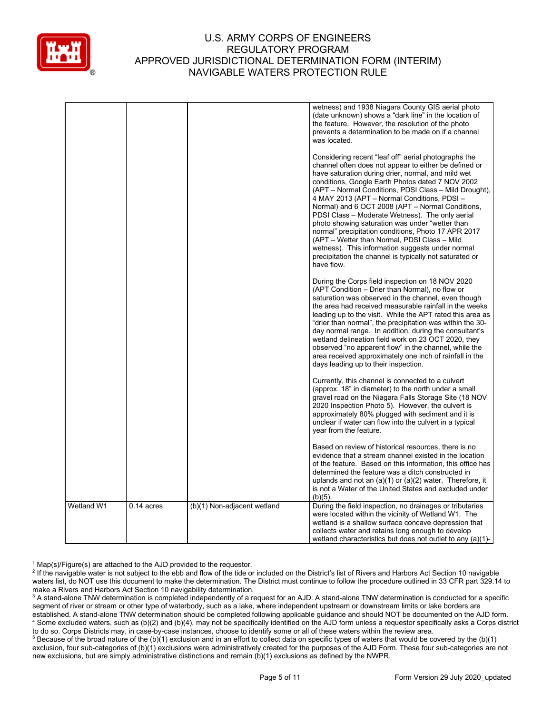

|            |              |                             | wetness) and 1938 Niagara County GIS aerial photo<br>(date unknown) shows a "dark line" in the location of<br>the feature. However, the resolution of the photo<br>prevents a determination to be made on if a channel<br>was located.<br>Considering recent "leaf off" aerial photographs the<br>channel often does not appear to either be defined or<br>have saturation during drier, normal, and mild wet<br>conditions, Google Earth Photos dated 7 NOV 2002<br>(APT – Normal Conditions, PDSI Class – Mild Drought),<br>4 MAY 2013 (APT - Normal Conditions, PDSI -<br>Normal) and 6 OCT 2008 (APT - Normal Conditions,<br>PDSI Class - Moderate Wetness). The only aerial<br>photo showing saturation was under "wetter than<br>normal" precipitation conditions, Photo 17 APR 2017<br>(APT – Wetter than Normal, PDSI Class – Mild<br>wetness). This information suggests under normal<br>precipitation the channel is typically not saturated or<br>have flow. |
|------------|--------------|-----------------------------|-------------------------------------------------------------------------------------------------------------------------------------------------------------------------------------------------------------------------------------------------------------------------------------------------------------------------------------------------------------------------------------------------------------------------------------------------------------------------------------------------------------------------------------------------------------------------------------------------------------------------------------------------------------------------------------------------------------------------------------------------------------------------------------------------------------------------------------------------------------------------------------------------------------------------------------------------------------------------|
|            |              |                             | During the Corps field inspection on 18 NOV 2020<br>(APT Condition - Drier than Normal), no flow or<br>saturation was observed in the channel, even though<br>the area had received measurable rainfall in the weeks<br>leading up to the visit. While the APT rated this area as<br>"drier than normal", the precipitation was within the 30-<br>day normal range. In addition, during the consultant's<br>wetland delineation field work on 23 OCT 2020, they<br>observed "no apparent flow" in the channel, while the<br>area received approximately one inch of rainfall in the<br>days leading up to their inspection.                                                                                                                                                                                                                                                                                                                                             |
|            |              |                             | Currently, this channel is connected to a culvert<br>(approx. 18" in diameter) to the north under a small<br>gravel road on the Niagara Falls Storage Site (18 NOV<br>2020 Inspection Photo 5). However, the culvert is<br>approximately 80% plugged with sediment and it is<br>unclear if water can flow into the culvert in a typical<br>year from the feature.                                                                                                                                                                                                                                                                                                                                                                                                                                                                                                                                                                                                       |
|            |              |                             | Based on review of historical resources, there is no<br>evidence that a stream channel existed in the location<br>of the feature. Based on this information, this office has<br>determined the feature was a ditch constructed in<br>uplands and not an $(a)(1)$ or $(a)(2)$ water. Therefore, it<br>is not a Water of the United States and excluded under<br>$(b)(5)$ .                                                                                                                                                                                                                                                                                                                                                                                                                                                                                                                                                                                               |
| Wetland W1 | $0.14$ acres | (b)(1) Non-adjacent wetland | During the field inspection, no drainages or tributaries<br>were located within the vicinity of Wetland W1. The<br>wetland is a shallow surface concave depression that<br>collects water and retains long enough to develop<br>wetland characteristics but does not outlet to any $(a)(1)$ -                                                                                                                                                                                                                                                                                                                                                                                                                                                                                                                                                                                                                                                                           |

<sup>1</sup> Map(s)/Figure(s) are attached to the AJD provided to the requestor.<br><sup>2</sup> If the navigable water is not subject to the ebb and flow of the tide or included on the District's list of Rivers and Harbors Act Section 10 nav waters list, do NOT use this document to make the determination. The District must continue to follow the procedure outlined in 33 CFR part 329.14 to make a Rivers and Harbors Act Section 10 navigability determination.

<sup>3</sup> A stand-alone TNW determination is completed independently of a request for an AJD. A stand-alone TNW determination is conducted for a specific segment of river or stream or other type of waterbody, such as a lake, where independent upstream or downstream limits or lake borders are established. A stand-alone TNW determination should be completed following applicable guidance and should NOT be documented on the AJD form. <sup>4</sup> Some excluded waters, such as (b)(2) and (b)(4), may not be specifically identified on the AJD form unless a requestor specifically asks a Corps district to do so. Corps Districts may, in case-by-case instances, choose to identify some or all of these waters within the review area.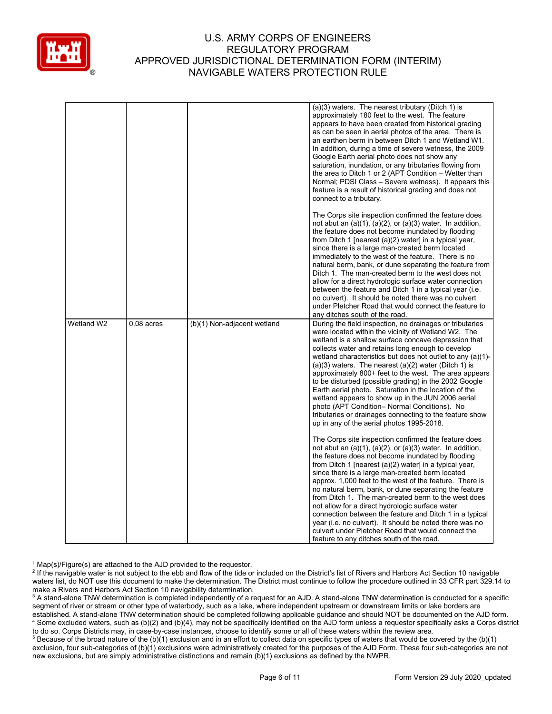

|            |              |                             | (a)(3) waters. The nearest tributary (Ditch 1) is<br>approximately 180 feet to the west. The feature<br>appears to have been created from historical grading<br>as can be seen in aerial photos of the area. There is<br>an earthen berm in between Ditch 1 and Wetland W1.<br>In addition, during a time of severe wetness, the 2009<br>Google Earth aerial photo does not show any<br>saturation, inundation, or any tributaries flowing from<br>the area to Ditch 1 or 2 (APT Condition - Wetter than<br>Normal; PDSI Class – Severe wetness). It appears this<br>feature is a result of historical grading and does not<br>connect to a tributary.                                                                                             |
|------------|--------------|-----------------------------|----------------------------------------------------------------------------------------------------------------------------------------------------------------------------------------------------------------------------------------------------------------------------------------------------------------------------------------------------------------------------------------------------------------------------------------------------------------------------------------------------------------------------------------------------------------------------------------------------------------------------------------------------------------------------------------------------------------------------------------------------|
|            |              |                             | The Corps site inspection confirmed the feature does<br>not abut an $(a)(1)$ , $(a)(2)$ , or $(a)(3)$ water. In addition,<br>the feature does not become inundated by flooding<br>from Ditch 1 [nearest (a)(2) water] in a typical year,<br>since there is a large man-created berm located<br>immediately to the west of the feature. There is no<br>natural berm, bank, or dune separating the feature from<br>Ditch 1. The man-created berm to the west does not<br>allow for a direct hydrologic surface water connection<br>between the feature and Ditch 1 in a typical year (i.e.<br>no culvert). It should be noted there was no culvert<br>under Pletcher Road that would connect the feature to<br>any ditches south of the road.        |
| Wetland W2 | $0.08$ acres | (b)(1) Non-adjacent wetland | During the field inspection, no drainages or tributaries<br>were located within the vicinity of Wetland W2. The<br>wetland is a shallow surface concave depression that<br>collects water and retains long enough to develop<br>wetland characteristics but does not outlet to any $(a)(1)$ -<br>$(a)(3)$ waters. The nearest $(a)(2)$ water (Ditch 1) is<br>approximately 800+ feet to the west. The area appears<br>to be disturbed (possible grading) in the 2002 Google<br>Earth aerial photo. Saturation in the location of the<br>wetland appears to show up in the JUN 2006 aerial<br>photo (APT Condition– Normal Conditions). No<br>tributaries or drainages connecting to the feature show<br>up in any of the aerial photos 1995-2018.  |
|            |              |                             | The Corps site inspection confirmed the feature does<br>not abut an $(a)(1)$ , $(a)(2)$ , or $(a)(3)$ water. In addition,<br>the feature does not become inundated by flooding<br>from Ditch 1 [nearest (a)(2) water] in a typical year,<br>since there is a large man-created berm located<br>approx. 1,000 feet to the west of the feature. There is<br>no natural berm, bank, or dune separating the feature<br>from Ditch 1. The man-created berm to the west does<br>not allow for a direct hydrologic surface water<br>connection between the feature and Ditch 1 in a typical<br>year (i.e. no culvert). It should be noted there was no<br>culvert under Pletcher Road that would connect the<br>feature to any ditches south of the road. |

<sup>1</sup> Map(s)/Figure(s) are attached to the AJD provided to the requestor.<br><sup>2</sup> If the navigable water is not subject to the ebb and flow of the tide or included on the District's list of Rivers and Harbors Act Section 10 nav waters list, do NOT use this document to make the determination. The District must continue to follow the procedure outlined in 33 CFR part 329.14 to make a Rivers and Harbors Act Section 10 navigability determination.

<sup>3</sup> A stand-alone TNW determination is completed independently of a request for an AJD. A stand-alone TNW determination is conducted for a specific segment of river or stream or other type of waterbody, such as a lake, where independent upstream or downstream limits or lake borders are established. A stand-alone TNW determination should be completed following applicable guidance and should NOT be documented on the AJD form. <sup>4</sup> Some excluded waters, such as (b)(2) and (b)(4), may not be specifically identified on the AJD form unless a requestor specifically asks a Corps district to do so. Corps Districts may, in case-by-case instances, choose to identify some or all of these waters within the review area.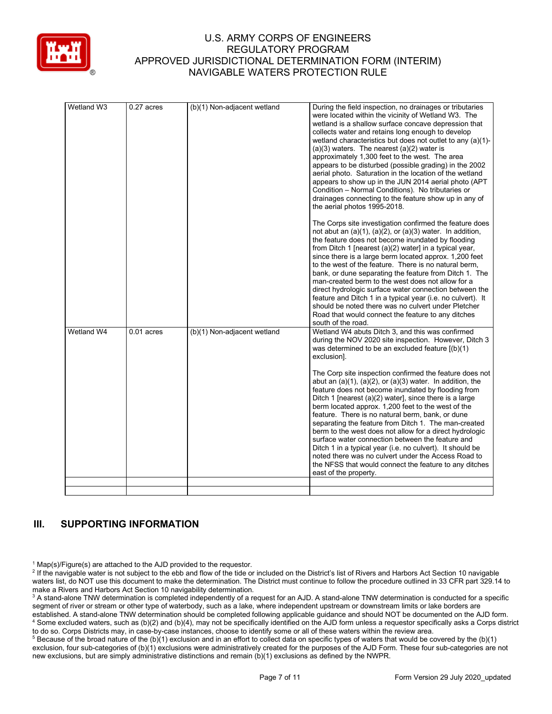

| Wetland W3 | 0.27 acres   | (b)(1) Non-adjacent wetland | During the field inspection, no drainages or tributaries<br>were located within the vicinity of Wetland W3. The<br>wetland is a shallow surface concave depression that<br>collects water and retains long enough to develop<br>wetland characteristics but does not outlet to any (a)(1)-<br>$(a)(3)$ waters. The nearest $(a)(2)$ water is<br>approximately 1,300 feet to the west. The area<br>appears to be disturbed (possible grading) in the 2002<br>aerial photo. Saturation in the location of the wetland<br>appears to show up in the JUN 2014 aerial photo (APT<br>Condition - Normal Conditions). No tributaries or<br>drainages connecting to the feature show up in any of<br>the aerial photos 1995-2018.<br>The Corps site investigation confirmed the feature does<br>not abut an $(a)(1)$ , $(a)(2)$ , or $(a)(3)$ water. In addition,<br>the feature does not become inundated by flooding<br>from Ditch 1 [nearest (a)(2) water] in a typical year,<br>since there is a large berm located approx. 1,200 feet<br>to the west of the feature. There is no natural berm,<br>bank, or dune separating the feature from Ditch 1. The<br>man-created berm to the west does not allow for a<br>direct hydrologic surface water connection between the<br>feature and Ditch 1 in a typical year (i.e. no culvert). It<br>should be noted there was no culvert under Pletcher<br>Road that would connect the feature to any ditches |
|------------|--------------|-----------------------------|--------------------------------------------------------------------------------------------------------------------------------------------------------------------------------------------------------------------------------------------------------------------------------------------------------------------------------------------------------------------------------------------------------------------------------------------------------------------------------------------------------------------------------------------------------------------------------------------------------------------------------------------------------------------------------------------------------------------------------------------------------------------------------------------------------------------------------------------------------------------------------------------------------------------------------------------------------------------------------------------------------------------------------------------------------------------------------------------------------------------------------------------------------------------------------------------------------------------------------------------------------------------------------------------------------------------------------------------------------------------------------------------------------------------------------------------------|
| Wetland W4 | $0.01$ acres | (b)(1) Non-adjacent wetland | south of the road.<br>Wetland W4 abuts Ditch 3, and this was confirmed<br>during the NOV 2020 site inspection. However, Ditch 3<br>was determined to be an excluded feature $[(b)(1)]$<br>exclusion].<br>The Corp site inspection confirmed the feature does not<br>abut an $(a)(1)$ , $(a)(2)$ , or $(a)(3)$ water. In addition, the<br>feature does not become inundated by flooding from<br>Ditch 1 [nearest (a)(2) water], since there is a large<br>berm located approx. 1,200 feet to the west of the<br>feature. There is no natural berm, bank, or dune<br>separating the feature from Ditch 1. The man-created<br>berm to the west does not allow for a direct hydrologic<br>surface water connection between the feature and<br>Ditch 1 in a typical year (i.e. no culvert). It should be<br>noted there was no culvert under the Access Road to<br>the NFSS that would connect the feature to any ditches<br>east of the property.                                                                                                                                                                                                                                                                                                                                                                                                                                                                                                    |
|            |              |                             |                                                                                                                                                                                                                                                                                                                                                                                                                                                                                                                                                                                                                                                                                                                                                                                                                                                                                                                                                                                                                                                                                                                                                                                                                                                                                                                                                                                                                                                  |

# **III. SUPPORTING INFORMATION**

<sup>1</sup> Map(s)/Figure(s) are attached to the AJD provided to the requestor.<br><sup>2</sup> If the navigable water is not subject to the ebb and flow of the tide or included on the District's list of Rivers and Harbors Act Section 10 nav waters list, do NOT use this document to make the determination. The District must continue to follow the procedure outlined in 33 CFR part 329.14 to make a Rivers and Harbors Act Section 10 navigability determination.

<sup>3</sup> A stand-alone TNW determination is completed independently of a request for an AJD. A stand-alone TNW determination is conducted for a specific segment of river or stream or other type of waterbody, such as a lake, where independent upstream or downstream limits or lake borders are established. A stand-alone TNW determination should be completed following applicable guidance and should NOT be documented on the AJD form. <sup>4</sup> Some excluded waters, such as (b)(2) and (b)(4), may not be specifically identified on the AJD form unless a requestor specifically asks a Corps district to do so. Corps Districts may, in case-by-case instances, choose to identify some or all of these waters within the review area.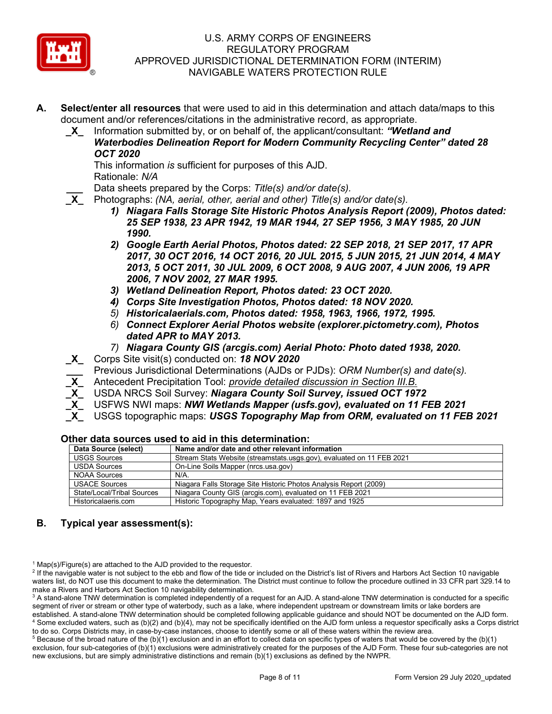

- **A. Select/enter all resources** that were used to aid in this determination and attach data/maps to this document and/or references/citations in the administrative record, as appropriate.
	- **\_X\_** Information submitted by, or on behalf of, the applicant/consultant: *"Wetland and Waterbodies Delineation Report for Modern Community Recycling Center" dated 28 OCT 2020*

This information *is* sufficient for purposes of this AJD. Rationale: *N/A* 

**\_\_\_** Data sheets prepared by the Corps: *Title(s) and/or date(s).*

- **\_X\_** Photographs: *(NA, aerial, other, aerial and other) Title(s) and/or date(s).*
	- *1) Niagara Falls Storage Site Historic Photos Analysis Report (2009), Photos dated: 25 SEP 1938, 23 APR 1942, 19 MAR 1944, 27 SEP 1956, 3 MAY 1985, 20 JUN 1990.*
	- *2) Google Earth Aerial Photos, Photos dated: 22 SEP 2018, 21 SEP 2017, 17 APR 2017, 30 OCT 2016, 14 OCT 2016, 20 JUL 2015, 5 JUN 2015, 21 JUN 2014, 4 MAY 2013, 5 OCT 2011, 30 JUL 2009, 6 OCT 2008, 9 AUG 2007, 4 JUN 2006, 19 APR 2006, 7 NOV 2002, 27 MAR 1995.*
	- *3) Wetland Delineation Report, Photos dated: 23 OCT 2020.*
	- *4) Corps Site Investigation Photos, Photos dated: 18 NOV 2020.*
	- *5) Historicalaerials.com, Photos dated: 1958, 1963, 1966, 1972, 1995.*
	- *6) Connect Explorer Aerial Photos website (explorer.pictometry.com), Photos dated APR to MAY 2013.*
	- *7) Niagara County GIS (arcgis.com) Aerial Photo: Photo dated 1938, 2020.*
- **\_X\_** Corps Site visit(s) conducted on: *18 NOV 2020*
- **\_\_\_** Previous Jurisdictional Determinations (AJDs or PJDs): *ORM Number(s) and date(s).*
- **\_X\_** Antecedent Precipitation Tool: *provide detailed discussion in Section III.B.*
- **\_X\_** USDA NRCS Soil Survey: *Niagara County Soil Survey, issued OCT 1972*
- **\_X\_** USFWS NWI maps: *NWI Wetlands Mapper (usfs.gov), evaluated on 11 FEB 2021*
- **USGS topographic maps: USGS Topography Map from ORM, evaluated on 11 FEB 2021**

| Data Source (select)       | Name and/or date and other relevant information                       |  |  |  |
|----------------------------|-----------------------------------------------------------------------|--|--|--|
| <b>USGS Sources</b>        | Stream Stats Website (streamstats.usgs.gov), evaluated on 11 FEB 2021 |  |  |  |
| <b>USDA Sources</b>        | On-Line Soils Mapper (nrcs.usa.gov)                                   |  |  |  |
| <b>NOAA Sources</b>        | $N/A$ .                                                               |  |  |  |
| <b>USACE Sources</b>       | Niagara Falls Storage Site Historic Photos Analysis Report (2009)     |  |  |  |
| State/Local/Tribal Sources | Niagara County GIS (arcgis.com), evaluated on 11 FEB 2021             |  |  |  |
| Historicalaeris.com        | Historic Topography Map, Years evaluated: 1897 and 1925               |  |  |  |
|                            |                                                                       |  |  |  |

#### **Other data sources used to aid in this determination:**

## **B. Typical year assessment(s):**

<sup>1</sup> Map(s)/Figure(s) are attached to the AJD provided to the requestor.<br><sup>2</sup> If the navigable water is not subject to the ebb and flow of the tide or included on the District's list of Rivers and Harbors Act Section 10 nav waters list, do NOT use this document to make the determination. The District must continue to follow the procedure outlined in 33 CFR part 329.14 to make a Rivers and Harbors Act Section 10 navigability determination.

<sup>3</sup> A stand-alone TNW determination is completed independently of a request for an AJD. A stand-alone TNW determination is conducted for a specific segment of river or stream or other type of waterbody, such as a lake, where independent upstream or downstream limits or lake borders are established. A stand-alone TNW determination should be completed following applicable guidance and should NOT be documented on the AJD form. <sup>4</sup> Some excluded waters, such as (b)(2) and (b)(4), may not be specifically identified on the AJD form unless a requestor specifically asks a Corps district to do so. Corps Districts may, in case-by-case instances, choose to identify some or all of these waters within the review area.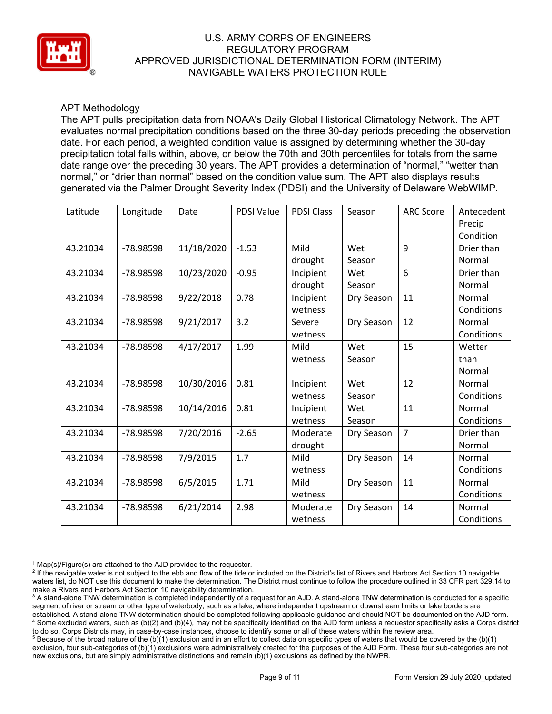

# APT Methodology

The APT pulls precipitation data from NOAA's Daily Global Historical Climatology Network. The APT evaluates normal precipitation conditions based on the three 30-day periods preceding the observation date. For each period, a weighted condition value is assigned by determining whether the 30-day precipitation total falls within, above, or below the 70th and 30th percentiles for totals from the same date range over the preceding 30 years. The APT provides a determination of "normal," "wetter than normal," or "drier than normal" based on the condition value sum. The APT also displays results generated via the Palmer Drought Severity Index (PDSI) and the University of Delaware WebWIMP.

| Latitude | Longitude | Date       | <b>PDSI Value</b> | <b>PDSI Class</b> | Season     | <b>ARC Score</b> | Antecedent |
|----------|-----------|------------|-------------------|-------------------|------------|------------------|------------|
|          |           |            |                   |                   |            |                  | Precip     |
|          |           |            |                   |                   |            |                  | Condition  |
| 43.21034 | -78.98598 | 11/18/2020 | $-1.53$           | Mild              | Wet        | 9                | Drier than |
|          |           |            |                   | drought           | Season     |                  | Normal     |
| 43.21034 | -78.98598 | 10/23/2020 | $-0.95$           | Incipient         | Wet        | 6                | Drier than |
|          |           |            |                   | drought           | Season     |                  | Normal     |
| 43.21034 | -78.98598 | 9/22/2018  | 0.78              | Incipient         | Dry Season | 11               | Normal     |
|          |           |            |                   | wetness           |            |                  | Conditions |
| 43.21034 | -78.98598 | 9/21/2017  | 3.2               | Severe            | Dry Season | 12               | Normal     |
|          |           |            |                   | wetness           |            |                  | Conditions |
| 43.21034 | -78.98598 | 4/17/2017  | 1.99              | Mild              | Wet        | 15               | Wetter     |
|          |           |            |                   | wetness           | Season     |                  | than       |
|          |           |            |                   |                   |            |                  | Normal     |
| 43.21034 | -78.98598 | 10/30/2016 | 0.81              | Incipient         | Wet        | 12               | Normal     |
|          |           |            |                   | wetness           | Season     |                  | Conditions |
| 43.21034 | -78.98598 | 10/14/2016 | 0.81              | Incipient         | Wet        | 11               | Normal     |
|          |           |            |                   | wetness           | Season     |                  | Conditions |
| 43.21034 | -78.98598 | 7/20/2016  | $-2.65$           | Moderate          | Dry Season | $\overline{7}$   | Drier than |
|          |           |            |                   | drought           |            |                  | Normal     |
| 43.21034 | -78.98598 | 7/9/2015   | 1.7               | Mild              | Dry Season | 14               | Normal     |
|          |           |            |                   | wetness           |            |                  | Conditions |
| 43.21034 | -78.98598 | 6/5/2015   | 1.71              | Mild              | Dry Season | 11               | Normal     |
|          |           |            |                   | wetness           |            |                  | Conditions |
| 43.21034 | -78.98598 | 6/21/2014  | 2.98              | Moderate          | Dry Season | 14               | Normal     |
|          |           |            |                   | wetness           |            |                  | Conditions |

<sup>1</sup> Map(s)/Figure(s) are attached to the AJD provided to the requestor.<br><sup>2</sup> If the navigable water is not subject to the ebb and flow of the tide or included on the District's list of Rivers and Harbors Act Section 10 nav waters list, do NOT use this document to make the determination. The District must continue to follow the procedure outlined in 33 CFR part 329.14 to make a Rivers and Harbors Act Section 10 navigability determination.

<sup>3</sup> A stand-alone TNW determination is completed independently of a request for an AJD. A stand-alone TNW determination is conducted for a specific segment of river or stream or other type of waterbody, such as a lake, where independent upstream or downstream limits or lake borders are established. A stand-alone TNW determination should be completed following applicable guidance and should NOT be documented on the AJD form. <sup>4</sup> Some excluded waters, such as (b)(2) and (b)(4), may not be specifically identified on the AJD form unless a requestor specifically asks a Corps district to do so. Corps Districts may, in case-by-case instances, choose to identify some or all of these waters within the review area.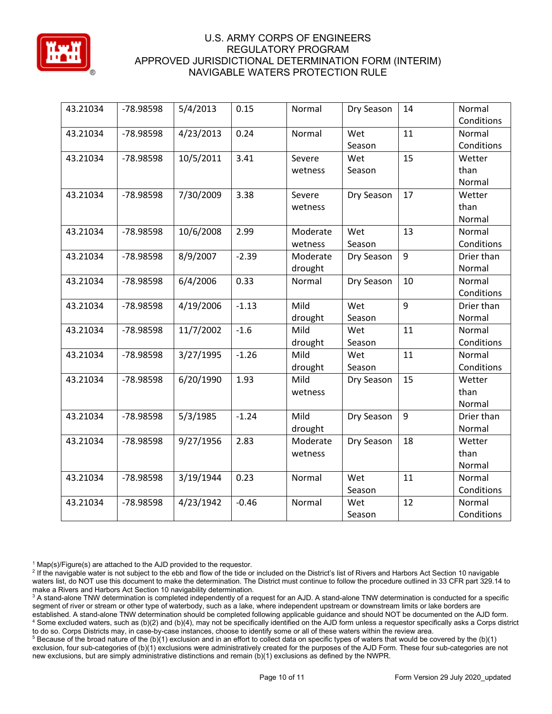

| 43.21034 | -78.98598 | 5/4/2013  | 0.15    | Normal   | Dry Season | 14               | Normal     |
|----------|-----------|-----------|---------|----------|------------|------------------|------------|
|          |           |           |         |          |            |                  | Conditions |
| 43.21034 | -78.98598 | 4/23/2013 | 0.24    | Normal   | Wet        | 11               | Normal     |
|          |           |           |         |          | Season     |                  | Conditions |
| 43.21034 | -78.98598 | 10/5/2011 | 3.41    | Severe   | Wet        | 15               | Wetter     |
|          |           |           |         | wetness  | Season     |                  | than       |
|          |           |           |         |          |            |                  | Normal     |
| 43.21034 | -78.98598 | 7/30/2009 | 3.38    | Severe   | Dry Season | 17               | Wetter     |
|          |           |           |         | wetness  |            |                  | than       |
|          |           |           |         |          |            |                  | Normal     |
| 43.21034 | -78.98598 | 10/6/2008 | 2.99    | Moderate | Wet        | 13               | Normal     |
|          |           |           |         | wetness  | Season     |                  | Conditions |
| 43.21034 | -78.98598 | 8/9/2007  | $-2.39$ | Moderate | Dry Season | 9                | Drier than |
|          |           |           |         | drought  |            |                  | Normal     |
| 43.21034 | -78.98598 | 6/4/2006  | 0.33    | Normal   | Dry Season | 10               | Normal     |
|          |           |           |         |          |            |                  | Conditions |
| 43.21034 | -78.98598 | 4/19/2006 | $-1.13$ | Mild     | Wet        | $\boldsymbol{9}$ | Drier than |
|          |           |           |         | drought  | Season     |                  | Normal     |
| 43.21034 | -78.98598 | 11/7/2002 | $-1.6$  | Mild     | Wet        | 11               | Normal     |
|          |           |           |         | drought  | Season     |                  | Conditions |
| 43.21034 | -78.98598 | 3/27/1995 | $-1.26$ | Mild     | Wet        | 11               | Normal     |
|          |           |           |         | drought  | Season     |                  | Conditions |
| 43.21034 | -78.98598 | 6/20/1990 | 1.93    | Mild     | Dry Season | 15               | Wetter     |
|          |           |           |         | wetness  |            |                  | than       |
|          |           |           |         |          |            |                  | Normal     |
| 43.21034 | -78.98598 | 5/3/1985  | $-1.24$ | Mild     | Dry Season | 9                | Drier than |
|          |           |           |         | drought  |            |                  | Normal     |
| 43.21034 | -78.98598 | 9/27/1956 | 2.83    | Moderate | Dry Season | 18               | Wetter     |
|          |           |           |         | wetness  |            |                  | than       |
|          |           |           |         |          |            |                  | Normal     |
| 43.21034 | -78.98598 | 3/19/1944 | 0.23    | Normal   | Wet        | 11               | Normal     |
|          |           |           |         |          | Season     |                  | Conditions |
| 43.21034 | -78.98598 | 4/23/1942 | $-0.46$ | Normal   | Wet        | 12               | Normal     |
|          |           |           |         |          | Season     |                  | Conditions |

<sup>1</sup> Map(s)/Figure(s) are attached to the AJD provided to the requestor.<br><sup>2</sup> If the navigable water is not subject to the ebb and flow of the tide or included on the District's list of Rivers and Harbors Act Section 10 nav waters list, do NOT use this document to make the determination. The District must continue to follow the procedure outlined in 33 CFR part 329.14 to make a Rivers and Harbors Act Section 10 navigability determination.

<sup>3</sup> A stand-alone TNW determination is completed independently of a request for an AJD. A stand-alone TNW determination is conducted for a specific segment of river or stream or other type of waterbody, such as a lake, where independent upstream or downstream limits or lake borders are established. A stand-alone TNW determination should be completed following applicable guidance and should NOT be documented on the AJD form. <sup>4</sup> Some excluded waters, such as (b)(2) and (b)(4), may not be specifically identified on the AJD form unless a requestor specifically asks a Corps district to do so. Corps Districts may, in case-by-case instances, choose to identify some or all of these waters within the review area.